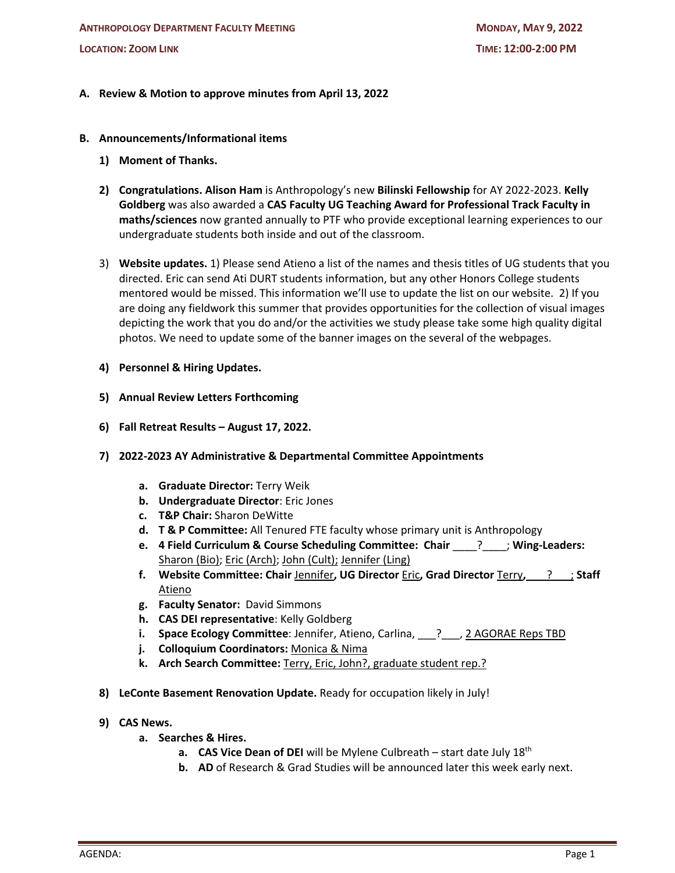# **A. Review & Motion to approve minutes from April 13, 2022**

### **B. Announcements/Informational items**

- **1) Moment of Thanks.**
- **2) Congratulations. Alison Ham** is Anthropology's new **Bilinski Fellowship** for AY 2022-2023. **Kelly Goldberg** was also awarded a **CAS Faculty UG Teaching Award for Professional Track Faculty in maths/sciences** now granted annually to PTF who provide exceptional learning experiences to our undergraduate students both inside and out of the classroom.
- 3) **Website updates.** 1) Please send Atieno a list of the names and thesis titles of UG students that you directed. Eric can send Ati DURT students information, but any other Honors College students mentored would be missed. This information we'll use to update the list on our website. 2) If you are doing any fieldwork this summer that provides opportunities for the collection of visual images depicting the work that you do and/or the activities we study please take some high quality digital photos. We need to update some of the banner images on the several of the webpages.
- **4) Personnel & Hiring Updates.**
- **5) Annual Review Letters Forthcoming**
- **6) Fall Retreat Results – August 17, 2022.**
- **7) 2022-2023 AY Administrative & Departmental Committee Appointments**
	- **a. Graduate Director:** Terry Weik
	- **b. Undergraduate Director**: Eric Jones
	- **c. T&P Chair:** Sharon DeWitte
	- **d. T & P Committee:** All Tenured FTE faculty whose primary unit is Anthropology
	- **e. 4 Field Curriculum & Course Scheduling Committee: Chair** \_\_\_\_?\_\_\_\_; **Wing-Leaders:** Sharon (Bio); Eric (Arch); John (Cult); Jennifer (Ling)
	- **f. Website Committee: Chair** Jennifer**, UG Director** Eric**, Grad Director** Terry**,** \_\_\_?\_\_\_; **Staff**  Atieno
	- **g. Faculty Senator:** David Simmons
	- **h. CAS DEI representative**: Kelly Goldberg
	- **i.** Space Ecology Committee: Jennifer, Atieno, Carlina, \_\_\_? \_\_\_, 2 AGORAE Reps TBD
	- **j. Colloquium Coordinators:** Monica & Nima
	- **k. Arch Search Committee:** Terry, Eric, John?, graduate student rep.?
- **8) LeConte Basement Renovation Update.** Ready for occupation likely in July!
- **9) CAS News.**
	- **a. Searches & Hires.**
		- **a. CAS Vice Dean of DEI** will be Mylene Culbreath start date July 18th
		- **b. AD** of Research & Grad Studies will be announced later this week early next.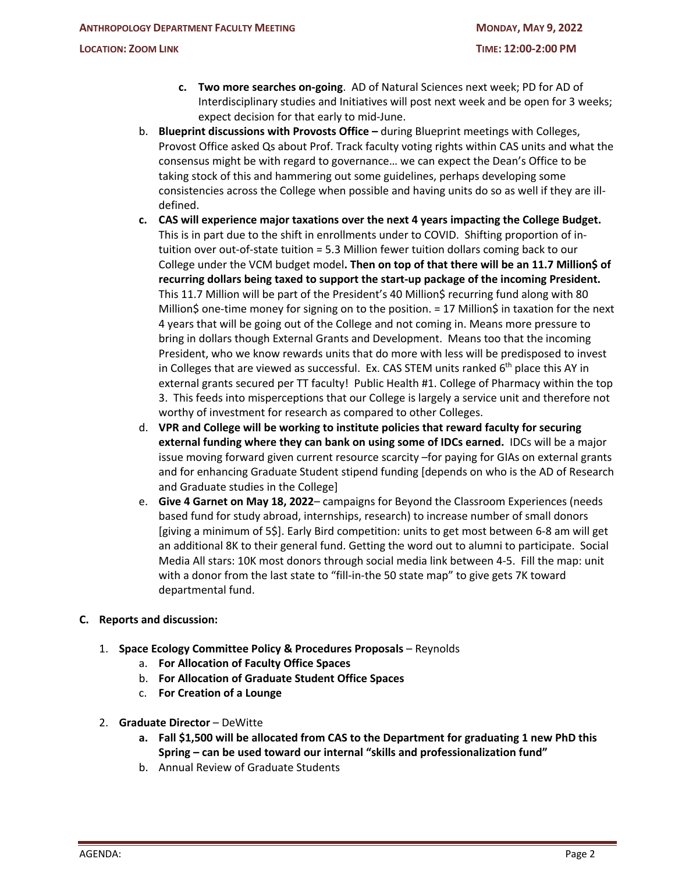- **c. Two more searches on-going**. AD of Natural Sciences next week; PD for AD of Interdisciplinary studies and Initiatives will post next week and be open for 3 weeks; expect decision for that early to mid-June.
- b. **Blueprint discussions with Provosts Office –** during Blueprint meetings with Colleges, Provost Office asked Qs about Prof. Track faculty voting rights within CAS units and what the consensus might be with regard to governance… we can expect the Dean's Office to be taking stock of this and hammering out some guidelines, perhaps developing some consistencies across the College when possible and having units do so as well if they are illdefined.
- **c. CAS will experience major taxations over the next 4 years impacting the College Budget.**  This is in part due to the shift in enrollments under to COVID. Shifting proportion of intuition over out-of-state tuition = 5.3 Million fewer tuition dollars coming back to our College under the VCM budget model**. Then on top of that there will be an 11.7 Million\$ of recurring dollars being taxed to support the start-up package of the incoming President.**  This 11.7 Million will be part of the President's 40 Million\$ recurring fund along with 80 Million\$ one-time money for signing on to the position. = 17 Million\$ in taxation for the next 4 years that will be going out of the College and not coming in. Means more pressure to bring in dollars though External Grants and Development. Means too that the incoming President, who we know rewards units that do more with less will be predisposed to invest in Colleges that are viewed as successful. Ex. CAS STEM units ranked  $6<sup>th</sup>$  place this AY in external grants secured per TT faculty! Public Health #1. College of Pharmacy within the top 3. This feeds into misperceptions that our College is largely a service unit and therefore not worthy of investment for research as compared to other Colleges.
- d. **VPR and College will be working to institute policies that reward faculty for securing external funding where they can bank on using some of IDCs earned.** IDCs will be a major issue moving forward given current resource scarcity –for paying for GIAs on external grants and for enhancing Graduate Student stipend funding [depends on who is the AD of Research and Graduate studies in the College]
- e. **Give 4 Garnet on May 18, 2022** campaigns for Beyond the Classroom Experiences (needs based fund for study abroad, internships, research) to increase number of small donors [giving a minimum of 5\$]. Early Bird competition: units to get most between 6-8 am will get an additional 8K to their general fund. Getting the word out to alumni to participate. Social Media All stars: 10K most donors through social media link between 4-5. Fill the map: unit with a donor from the last state to "fill-in-the 50 state map" to give gets 7K toward departmental fund.

# **C. Reports and discussion:**

- 1. **Space Ecology Committee Policy & Procedures Proposals** Reynolds
	- a. **For Allocation of Faculty Office Spaces**
	- b. **For Allocation of Graduate Student Office Spaces**
	- c. **For Creation of a Lounge**
- 2. **Graduate Director** DeWitte
	- **a. Fall \$1,500 will be allocated from CAS to the Department for graduating 1 new PhD this Spring – can be used toward our internal "skills and professionalization fund"**
	- b. Annual Review of Graduate Students